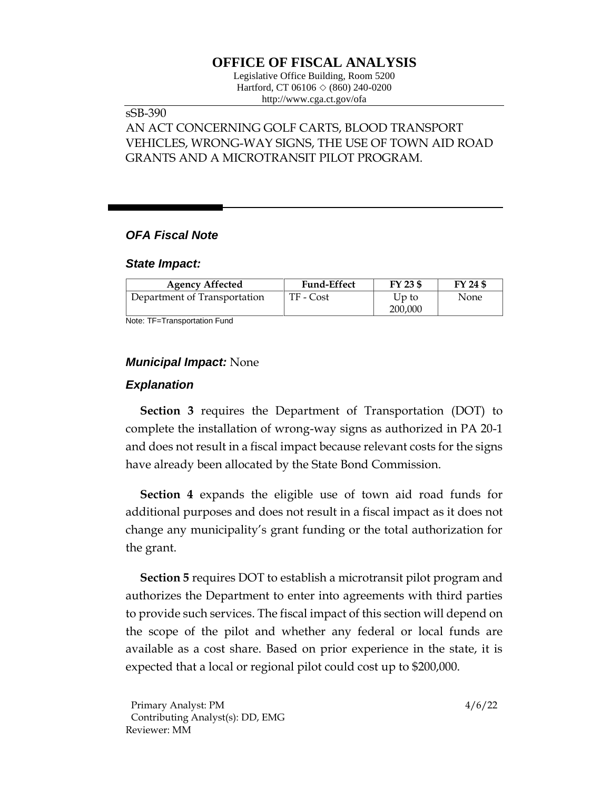# **OFFICE OF FISCAL ANALYSIS**

Legislative Office Building, Room 5200 Hartford, CT 06106  $\Diamond$  (860) 240-0200 http://www.cga.ct.gov/ofa

## sSB-390

# AN ACT CONCERNING GOLF CARTS, BLOOD TRANSPORT VEHICLES, WRONG-WAY SIGNS, THE USE OF TOWN AID ROAD GRANTS AND A MICROTRANSIT PILOT PROGRAM.

### *OFA Fiscal Note*

#### *State Impact:*

| <b>Agency Affected</b>       | <b>Fund-Effect</b> | FY 23 \$         | FY 24 \$ |
|------------------------------|--------------------|------------------|----------|
| Department of Transportation | TF - Cost          | Up to<br>200,000 | None     |

Note: TF=Transportation Fund

### *Municipal Impact:* None

#### *Explanation*

**Section 3** requires the Department of Transportation (DOT) to complete the installation of wrong-way signs as authorized in PA 20-1 and does not result in a fiscal impact because relevant costs for the signs have already been allocated by the State Bond Commission.

**Section 4** expands the eligible use of town aid road funds for additional purposes and does not result in a fiscal impact as it does not change any municipality's grant funding or the total authorization for the grant.

**Section 5** requires DOT to establish a microtransit pilot program and authorizes the Department to enter into agreements with third parties to provide such services. The fiscal impact of this section will depend on the scope of the pilot and whether any federal or local funds are available as a cost share. Based on prior experience in the state, it is expected that a local or regional pilot could cost up to \$200,000.